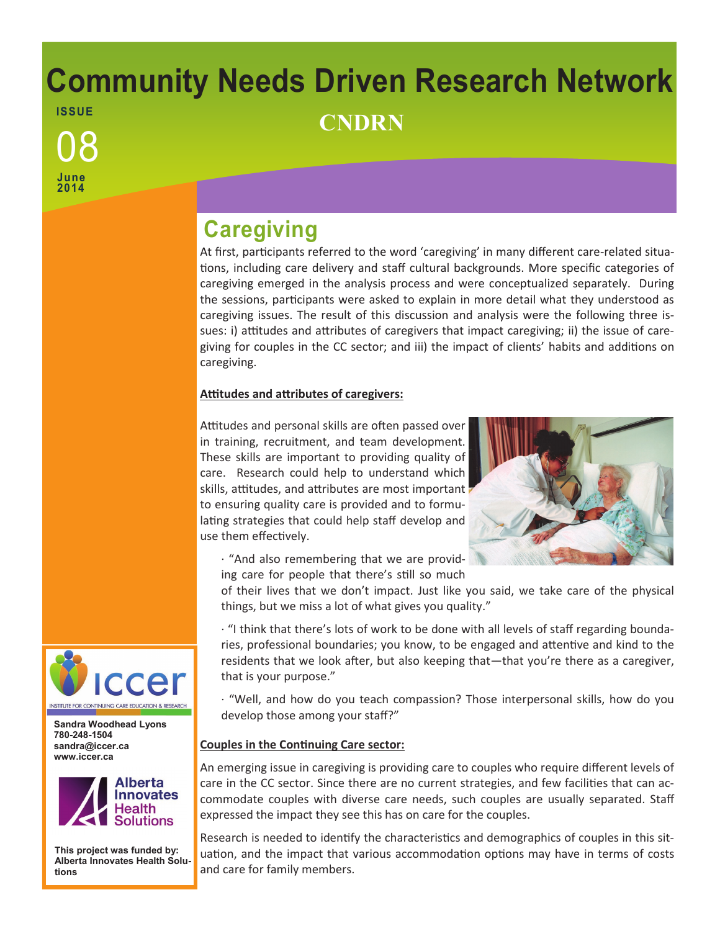# **Community Needs Driven Research Network ISSUE** <sup>08</sup> **CNDRN**

**June 2014**

## **Caregiving**

At first, participants referred to the word 'caregiving' in many different care-related situations, including care delivery and staff cultural backgrounds. More specific categories of caregiving emerged in the analysis process and were conceptualized separately. During the sessions, participants were asked to explain in more detail what they understood as caregiving issues. The result of this discussion and analysis were the following three issues: i) attitudes and attributes of caregivers that impact caregiving; ii) the issue of caregiving for couples in the CC sector; and iii) the impact of clients' habits and additions on caregiving.

### **Attitudes and attributes of caregivers:**

Attitudes and personal skills are often passed over in training, recruitment, and team development. These skills are important to providing quality of care. Research could help to understand which skills, attitudes, and attributes are most important to ensuring quality care is provided and to formulating strategies that could help staff develop and use them effectively.



· "And also remembering that we are providing care for people that there's still so much

of their lives that we don't impact. Just like you said, we take care of the physical things, but we miss a lot of what gives you quality."

· "I think that there's lots of work to be done with all levels of staff regarding boundaries, professional boundaries; you know, to be engaged and attentive and kind to the residents that we look after, but also keeping that—that you're there as a caregiver, that is your purpose."

· "Well, and how do you teach compassion? Those interpersonal skills, how do you develop those among your staff?"

### **Couples in the Continuing Care sector:**

An emerging issue in caregiving is providing care to couples who require different levels of care in the CC sector. Since there are no current strategies, and few facilities that can accommodate couples with diverse care needs, such couples are usually separated. Staff expressed the impact they see this has on care for the couples.

Research is needed to identify the characteristics and demographics of couples in this situation, and the impact that various accommodation options may have in terms of costs and care for family members.



**Sandra Woodhead Lyons 780-248-1504 sandra@iccer.ca www.iccer.ca** 



**This project was funded by: Alberta Innovates Health Solutions**